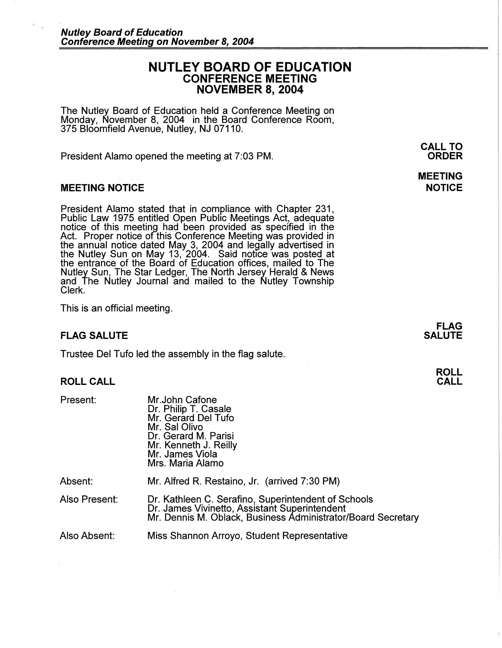# **NUTLEY BOARD OF EDUCATION CONFERENCE MEETING NOVEMBER 8, 2004**

The Nutley Board of Education held a Conference Meeting on Monday, November 8, 2004 in the Board Conference Room, 375 Bloomfield Avenue, Nutley, NJ 07110.

President Alamo opened the meeting at 7:03 PM.

#### **MEETING NOTICE**

President Alamo stated that in compliance with Chapter 231, Public Law 1975 entitled Open Public Meetings Act, adequate notice of this meeting had been provided as specified in the Act. Proper notice of this Conference Meeting was provided in the annual notice dated May 3, 2004 and legally advertised in the Nutley Sun on May 13, 2004. Said notice was posted at the entrance of the Board of Education offices, mailed to The Nutley Sun, The Star Ledger, The North Jersey Herald & News and The Nutley Journal and mailed to the Nutley Township Clerk.

This is an official meeting.

## **FLAG SALUTE**

Trustee Del Tufo led the assembly in the flag salute.

## **ROLL CALL**

Present:

Mr.John Catone Dr. Philip T. Casale Mr. Gerard Del Tufo Mr. Sal Olivo Dr. Gerard M. Parisi Mr. Kenneth J. Reilly Mr. James Viola Mrs. Maria Alamo

Absent: Also Present: Mr. Alfred R. Restaino, Jr. (arrived 7:30 PM) Dr. Kathleen C. Serafino, Superintendent of Schools Dr. James Vivinetto, Assistant Superintendent Mr. Dennis M. Oblack, Business Administrator/Board Secretary

Also Absent: Miss Shannon Arroyo, Student Representative

**MEETING NOTICE** 

**CALL TO ORDER** 

**FLAG SALUTE**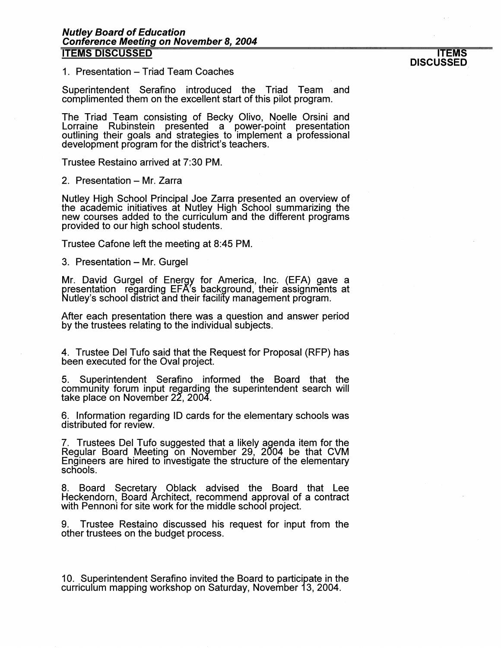1. Presentation – Triad Team Coaches

Superintendent Serafino introduced the Triad Team and complimented them on the excellent start of this pilot program.

The Triad Team consisting of Becky Olivo, Noelle Orsini and Lorraine Rubinstein presented a power-point presentation outlining their goals and strategies to implement a professional development program for the district's teachers.

Trustee Restaino arrived at 7:30 PM.

2. Presentation - Mr. Zarra

Nutley High School Principal Joe Zarra presented an overview of the academic initiatives at Nutley High School summarizing the new courses added to the curriculum and the different programs provided to our high school students.

Trustee Catone left the meeting at 8:45 PM.

3. Presentation - Mr. Gurgel

Mr. David Gurgel of Energx for America, Inc. (EFA) gave a presentation regarding EFA's background, their assignments at Nutley's school district and their facility management program.

After each presentation there was a question and answer period by the trustees relating to the individual subjects.

4. Trustee Del Tufo said that the Request for Proposal (RFP) has been executed for the Oval project.

5. Superintendent Serafino informed the Board that the community forum input regarding the superintendent search will take place on November 22, 2004.

6. Information regarding ID cards for the elementary schools was distributed for review.

7. Trustees Del Tufo suggested that a likely agenda item for the Regular Board Meeting on November 29, 2004 be that CVM Engineers are hired to investigate the structure of the elementary scliools.

8. Board Secretary Oblack advised the Board that Lee Heckendorn, Board Architect, recommend approval of a contract with Pennoni for site work for the middle school project.

9. Trustee Restaino discussed his request for input from the other trustees on the budget process.

10. Superintendent Serafino invited the Board to participate in the curriculum mapping workshop on Saturday, November 13, 2004.